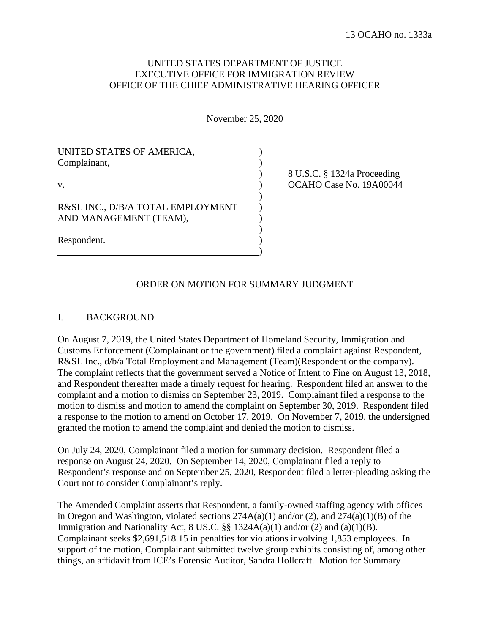## UNITED STATES DEPARTMENT OF JUSTICE EXECUTIVE OFFICE FOR IMMIGRATION REVIEW OFFICE OF THE CHIEF ADMINISTRATIVE HEARING OFFICER

November 25, 2020

| UNITED STATES OF AMERICA,<br>Complainant,<br>V. |  |
|-------------------------------------------------|--|
|                                                 |  |
| Respondent.                                     |  |

) 8 U.S.C. § 1324a Proceeding OCAHO Case No. 19A00044

#### ORDER ON MOTION FOR SUMMARY JUDGMENT

#### I. BACKGROUND

On August 7, 2019, the United States Department of Homeland Security, Immigration and Customs Enforcement (Complainant or the government) filed a complaint against Respondent, R&SL Inc., d/b/a Total Employment and Management (Team)(Respondent or the company). The complaint reflects that the government served a Notice of Intent to Fine on August 13, 2018, and Respondent thereafter made a timely request for hearing. Respondent filed an answer to the complaint and a motion to dismiss on September 23, 2019. Complainant filed a response to the motion to dismiss and motion to amend the complaint on September 30, 2019. Respondent filed a response to the motion to amend on October 17, 2019. On November 7, 2019, the undersigned granted the motion to amend the complaint and denied the motion to dismiss.

On July 24, 2020, Complainant filed a motion for summary decision. Respondent filed a response on August 24, 2020. On September 14, 2020, Complainant filed a reply to Respondent's response and on September 25, 2020, Respondent filed a letter-pleading asking the Court not to consider Complainant's reply.

The Amended Complaint asserts that Respondent, a family-owned staffing agency with offices in Oregon and Washington, violated sections  $274A(a)(1)$  and/or (2), and  $274(a)(1)(B)$  of the Immigration and Nationality Act,  $8 \text{ US.C.}$   $\S$ §  $1324A(a)(1)$  and/or (2) and (a)(1)(B). Complainant seeks \$2,691,518.15 in penalties for violations involving 1,853 employees. In support of the motion, Complainant submitted twelve group exhibits consisting of, among other things, an affidavit from ICE's Forensic Auditor, Sandra Hollcraft. Motion for Summary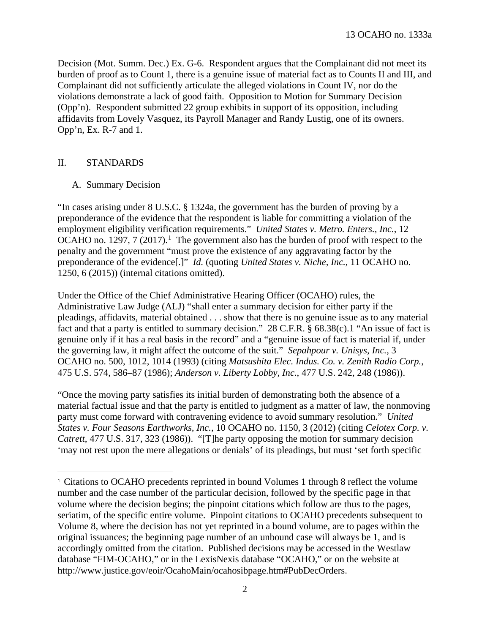13 OCAHO no. 1333a

Decision (Mot. Summ. Dec.) Ex. G-6. Respondent argues that the Complainant did not meet its burden of proof as to Count 1, there is a genuine issue of material fact as to Counts II and III, and Complainant did not sufficiently articulate the alleged violations in Count IV, nor do the violations demonstrate a lack of good faith. Opposition to Motion for Summary Decision (Opp'n). Respondent submitted 22 group exhibits in support of its opposition, including affidavits from Lovely Vasquez, its Payroll Manager and Randy Lustig, one of its owners. Opp'n, Ex. R-7 and 1.

#### II. STANDARDS

A. Summary Decision

"In cases arising under 8 U.S.C. § 1324a, the government has the burden of proving by a preponderance of the evidence that the respondent is liable for committing a violation of the employment eligibility verification requirements." *United States v. Metro. Enters., Inc.*, 12 OCAHO no. [1](#page-1-0)297,  $7(2017).$ <sup>1</sup> The government also has the burden of proof with respect to the penalty and the government "must prove the existence of any aggravating factor by the preponderance of the evidence[.]" *Id.* (quoting *United States v. Niche, Inc.*, 11 OCAHO no. 1250, 6 (2015)) (internal citations omitted).

Under the Office of the Chief Administrative Hearing Officer (OCAHO) rules, the Administrative Law Judge (ALJ) "shall enter a summary decision for either party if the pleadings, affidavits, material obtained . . . show that there is no genuine issue as to any material fact and that a party is entitled to summary decision." 28 C.F.R. § 68.38(c).1 "An issue of fact is genuine only if it has a real basis in the record" and a "genuine issue of fact is material if, under the governing law, it might affect the outcome of the suit." *Sepahpour v. Unisys, Inc.*, 3 OCAHO no. 500, 1012, 1014 (1993) (citing *Matsushita Elec. Indus. Co. v. Zenith Radio Corp.*, 475 U.S. 574, 586–87 (1986); *Anderson v. Liberty Lobby, Inc.*, 477 U.S. 242, 248 (1986)).

"Once the moving party satisfies its initial burden of demonstrating both the absence of a material factual issue and that the party is entitled to judgment as a matter of law, the nonmoving party must come forward with contravening evidence to avoid summary resolution." *United States v. Four Seasons Earthworks, Inc.*, 10 OCAHO no. 1150, 3 (2012) (citing *Celotex Corp. v. Catrett*, 477 U.S. 317, 323 (1986)). "[T]he party opposing the motion for summary decision 'may not rest upon the mere allegations or denials' of its pleadings, but must 'set forth specific

<span id="page-1-0"></span> $\overline{1}$ <sup>1</sup> Citations to OCAHO precedents reprinted in bound Volumes 1 through 8 reflect the volume number and the case number of the particular decision, followed by the specific page in that volume where the decision begins; the pinpoint citations which follow are thus to the pages, seriatim, of the specific entire volume. Pinpoint citations to OCAHO precedents subsequent to Volume 8, where the decision has not yet reprinted in a bound volume, are to pages within the original issuances; the beginning page number of an unbound case will always be 1, and is accordingly omitted from the citation. Published decisions may be accessed in the Westlaw database "FIM-OCAHO," or in the LexisNexis database "OCAHO," or on the website at http://www.justice.gov/eoir/OcahoMain/ocahosibpage.htm#PubDecOrders.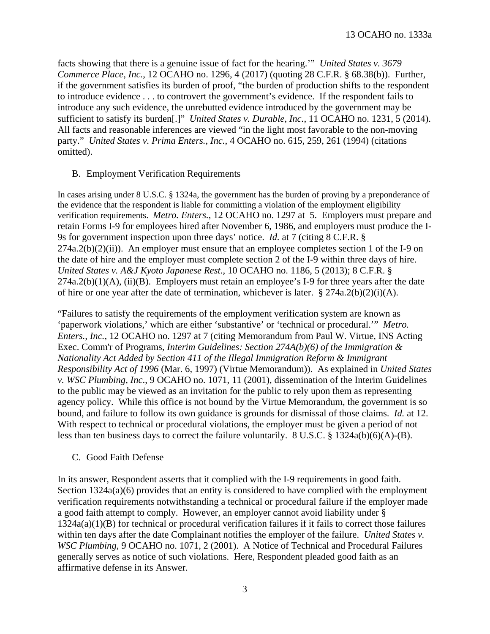facts showing that there is a genuine issue of fact for the hearing.'" *United States v. 3679 Commerce Place, Inc.*, 12 OCAHO no. 1296, 4 (2017) (quoting 28 C.F.R. § 68.38(b)). Further, if the government satisfies its burden of proof, "the burden of production shifts to the respondent to introduce evidence . . . to controvert the government's evidence. If the respondent fails to introduce any such evidence, the unrebutted evidence introduced by the government may be sufficient to satisfy its burden[.]" *United States v. Durable, Inc.*, 11 OCAHO no. 1231, 5 (2014). All facts and reasonable inferences are viewed "in the light most favorable to the non-moving party." *United States v. Prima Enters., Inc.*, 4 OCAHO no. 615, 259, 261 (1994) (citations omitted).

## B. Employment Verification Requirements

In cases arising under 8 U.S.C. § 1324a, the government has the burden of proving by a preponderance of the evidence that the respondent is liable for committing a violation of the employment eligibility verification requirements. *Metro. Enters.*, 12 OCAHO no. 1297 at 5. Employers must prepare and retain Forms I-9 for employees hired after November 6, 1986, and employers must produce the I-9s for government inspection upon three days' notice. *Id.* at 7 (citing 8 C.F.R. §  $274a.2(b)(2)(ii)$ . An employer must ensure that an employee completes section 1 of the I-9 on the date of hire and the employer must complete section 2 of the I-9 within three days of hire. *United States v. A&J Kyoto Japanese Rest.*, 10 OCAHO no. 1186, 5 (2013); 8 C.F.R. § 274a.2(b)(1)(A), (ii)(B). Employers must retain an employee's I-9 for three years after the date of hire or one year after the date of termination, whichever is later.  $\S 274a.2(b)(2)(i)(A)$ .

"Failures to satisfy the requirements of the employment verification system are known as 'paperwork violations,' which are either 'substantive' or 'technical or procedural.'" *Metro. Enters., Inc.*, 12 OCAHO no. 1297 at 7 (citing Memorandum from Paul W. Virtue, INS Acting Exec. Comm'r of Programs, *Interim Guidelines: Section 274A(b)(6) of the Immigration & Nationality Act Added by Section 411 of the Illegal Immigration Reform & Immigrant Responsibility Act of 1996* (Mar. 6, 1997) (Virtue Memorandum)). As explained in *United States v. WSC Plumbing, Inc*., 9 OCAHO no. 1071, 11 (2001), dissemination of the Interim Guidelines to the public may be viewed as an invitation for the public to rely upon them as representing agency policy. While this office is not bound by the Virtue Memorandum, the government is so bound, and failure to follow its own guidance is grounds for dismissal of those claims. *Id.* at 12. With respect to technical or procedural violations, the employer must be given a period of not less than ten business days to correct the failure voluntarily. 8 U.S.C. § 1324a(b)(6)(A)-(B).

# C. Good Faith Defense

In its answer, Respondent asserts that it complied with the I-9 requirements in good faith. Section 1324a(a)(6) provides that an entity is considered to have complied with the employment verification requirements notwithstanding a technical or procedural failure if the employer made a good faith attempt to comply. However, an employer cannot avoid liability under § 1324a(a)(1)(B) for technical or procedural verification failures if it fails to correct those failures within ten days after the date Complainant notifies the employer of the failure. *United States v. WSC Plumbing*, 9 OCAHO no. 1071, 2 (2001). A Notice of Technical and Procedural Failures generally serves as notice of such violations. Here, Respondent pleaded good faith as an affirmative defense in its Answer.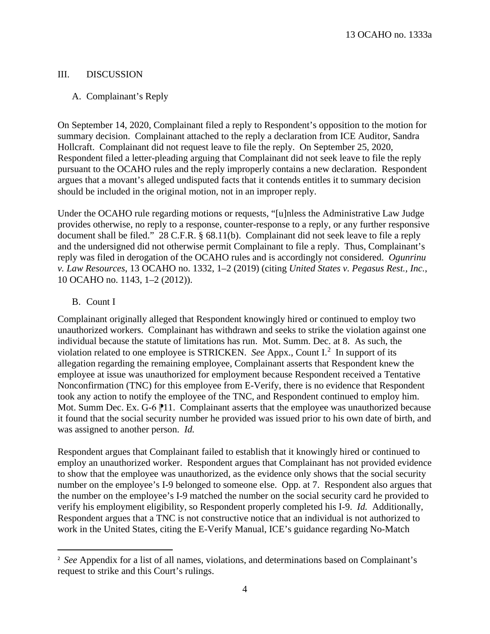## III. DISCUSSION

### A. Complainant's Reply

On September 14, 2020, Complainant filed a reply to Respondent's opposition to the motion for summary decision. Complainant attached to the reply a declaration from ICE Auditor, Sandra Hollcraft. Complainant did not request leave to file the reply. On September 25, 2020, Respondent filed a letter-pleading arguing that Complainant did not seek leave to file the reply pursuant to the OCAHO rules and the reply improperly contains a new declaration. Respondent argues that a movant's alleged undisputed facts that it contends entitles it to summary decision should be included in the original motion, not in an improper reply.

Under the OCAHO rule regarding motions or requests, "[u]nless the Administrative Law Judge provides otherwise, no reply to a response, counter-response to a reply, or any further responsive document shall be filed." 28 C.F.R. § 68.11(b). Complainant did not seek leave to file a reply and the undersigned did not otherwise permit Complainant to file a reply. Thus, Complainant's reply was filed in derogation of the OCAHO rules and is accordingly not considered. *Ogunrinu v. Law Resources*, 13 OCAHO no. 1332, 1–2 (2019) (citing *United States v. Pegasus Rest., Inc.*, 10 OCAHO no. 1143, 1–2 (2012)).

## B. Count I

Complainant originally alleged that Respondent knowingly hired or continued to employ two unauthorized workers. Complainant has withdrawn and seeks to strike the violation against one individual because the statute of limitations has run. Mot. Summ. Dec. at 8. As such, the violation related to one employee is STRICKEN. *See* Appx., Count I.[2](#page-3-0) In support of its allegation regarding the remaining employee, Complainant asserts that Respondent knew the employee at issue was unauthorized for employment because Respondent received a Tentative Nonconfirmation (TNC) for this employee from E-Verify, there is no evidence that Respondent took any action to notify the employee of the TNC, and Respondent continued to employ him. Mot. Summ Dec. Ex. G-6  $\mathbb{P}11$ . Complainant asserts that the employee was unauthorized because it found that the social security number he provided was issued prior to his own date of birth, and was assigned to another person. *Id.* 

Respondent argues that Complainant failed to establish that it knowingly hired or continued to employ an unauthorized worker. Respondent argues that Complainant has not provided evidence to show that the employee was unauthorized, as the evidence only shows that the social security number on the employee's I-9 belonged to someone else. Opp. at 7. Respondent also argues that the number on the employee's I-9 matched the number on the social security card he provided to verify his employment eligibility, so Respondent properly completed his I-9. *Id.* Additionally, Respondent argues that a TNC is not constructive notice that an individual is not authorized to work in the United States, citing the E-Verify Manual, ICE's guidance regarding No-Match

<span id="page-3-0"></span> $\overline{2}$  *See* Appendix for a list of all names, violations, and determinations based on Complainant's request to strike and this Court's rulings.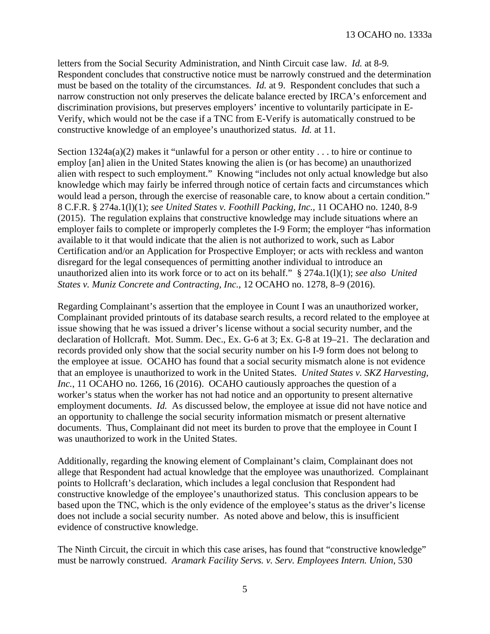letters from the Social Security Administration, and Ninth Circuit case law. *Id.* at 8-9*.*  Respondent concludes that constructive notice must be narrowly construed and the determination must be based on the totality of the circumstances. *Id.* at 9. Respondent concludes that such a narrow construction not only preserves the delicate balance erected by IRCA's enforcement and discrimination provisions, but preserves employers' incentive to voluntarily participate in E-Verify, which would not be the case if a TNC from E-Verify is automatically construed to be constructive knowledge of an employee's unauthorized status. *Id.* at 11.

Section  $1324a(a)(2)$  makes it "unlawful for a person or other entity . . . to hire or continue to employ [an] alien in the United States knowing the alien is (or has become) an unauthorized alien with respect to such employment." Knowing "includes not only actual knowledge but also knowledge which may fairly be inferred through notice of certain facts and circumstances which would lead a person, through the exercise of reasonable care, to know about a certain condition." 8 C.F.R. § 274a.1(l)(1); *see United States v. Foothill Packing, Inc.*, 11 OCAHO no. 1240, 8-9 (2015). The regulation explains that constructive knowledge may include situations where an employer fails to complete or improperly completes the I-9 Form; the employer "has information available to it that would indicate that the alien is not authorized to work, such as Labor Certification and/or an Application for Prospective Employer; or acts with reckless and wanton disregard for the legal consequences of permitting another individual to introduce an unauthorized alien into its work force or to act on its behalf." § 274a.1(l)(1); *see also United States v. Muniz Concrete and Contracting, Inc.*, 12 OCAHO no. 1278, 8–9 (2016).

Regarding Complainant's assertion that the employee in Count I was an unauthorized worker, Complainant provided printouts of its database search results, a record related to the employee at issue showing that he was issued a driver's license without a social security number, and the declaration of Hollcraft. Mot. Summ. Dec., Ex. G-6 at 3; Ex. G-8 at 19–21. The declaration and records provided only show that the social security number on his I-9 form does not belong to the employee at issue. OCAHO has found that a social security mismatch alone is not evidence that an employee is unauthorized to work in the United States. *United States v. SKZ Harvesting, Inc.*, 11 OCAHO no. 1266, 16 (2016). OCAHO cautiously approaches the question of a worker's status when the worker has not had notice and an opportunity to present alternative employment documents. *Id.* As discussed below, the employee at issue did not have notice and an opportunity to challenge the social security information mismatch or present alternative documents. Thus, Complainant did not meet its burden to prove that the employee in Count I was unauthorized to work in the United States.

Additionally, regarding the knowing element of Complainant's claim, Complainant does not allege that Respondent had actual knowledge that the employee was unauthorized. Complainant points to Hollcraft's declaration, which includes a legal conclusion that Respondent had constructive knowledge of the employee's unauthorized status. This conclusion appears to be based upon the TNC, which is the only evidence of the employee's status as the driver's license does not include a social security number. As noted above and below, this is insufficient evidence of constructive knowledge.

The Ninth Circuit, the circuit in which this case arises, has found that "constructive knowledge" must be narrowly construed. *Aramark Facility Servs. v. Serv. Employees Intern. Union*, 530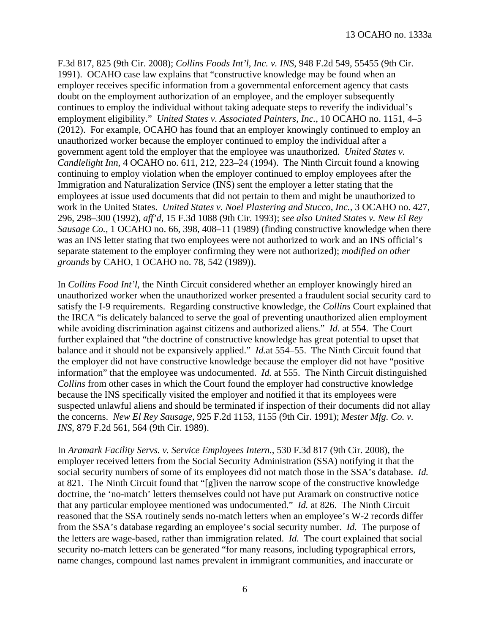F.3d 817, 825 (9th Cir. 2008); *Collins Foods Int'l, Inc. v. INS*, 948 F.2d 549, 55455 (9th Cir. 1991). OCAHO case law explains that "constructive knowledge may be found when an employer receives specific information from a governmental enforcement agency that casts doubt on the employment authorization of an employee, and the employer subsequently continues to employ the individual without taking adequate steps to reverify the individual's employment eligibility." *United States v. Associated Painters, Inc.*, 10 OCAHO no. 1151, 4–5 (2012). For example, OCAHO has found that an employer knowingly continued to employ an unauthorized worker because the employer continued to employ the individual after a government agent told the employer that the employee was unauthorized. *United States v. Candlelight Inn*, 4 OCAHO no. 611, 212, 223–24 (1994). The Ninth Circuit found a knowing continuing to employ violation when the employer continued to employ employees after the Immigration and Naturalization Service (INS) sent the employer a letter stating that the employees at issue used documents that did not pertain to them and might be unauthorized to work in the United States. *United States v. Noel Plastering and Stucco, Inc.*, 3 OCAHO no. 427, 296, 298–300 (1992), *aff'd*, 15 F.3d 1088 (9th Cir. 1993); *see also United States v. New El Rey Sausage Co.*, 1 OCAHO no. 66, 398, 408–11 (1989) (finding constructive knowledge when there was an INS letter stating that two employees were not authorized to work and an INS official's separate statement to the employer confirming they were not authorized); *modified on other grounds* by CAHO, 1 OCAHO no. 78, 542 (1989)).

In *Collins Food Int'l,* the Ninth Circuit considered whether an employer knowingly hired an unauthorized worker when the unauthorized worker presented a fraudulent social security card to satisfy the I-9 requirements. Regarding constructive knowledge, the *Collins* Court explained that the IRCA "is delicately balanced to serve the goal of preventing unauthorized alien employment while avoiding discrimination against citizens and authorized aliens." *Id.* at 554. The Court further explained that "the doctrine of constructive knowledge has great potential to upset that balance and it should not be expansively applied." *Id.*at 554–55. The Ninth Circuit found that the employer did not have constructive knowledge because the employer did not have "positive information" that the employee was undocumented. *Id.* at 555. The Ninth Circuit distinguished *Collins* from other cases in which the Court found the employer had constructive knowledge because the INS specifically visited the employer and notified it that its employees were suspected unlawful aliens and should be terminated if inspection of their documents did not allay the concerns. *New El Rey Sausage*, 925 F.2d 1153, 1155 (9th Cir. 1991); *Mester Mfg. Co. v. INS*, 879 F.2d 561, 564 (9th Cir. 1989).

In *Aramark Facility Servs. v. Service Employees Intern.*, 530 F.3d 817 (9th Cir. 2008), the employer received letters from the Social Security Administration (SSA) notifying it that the social security numbers of some of its employees did not match those in the SSA's database. *Id.* at 821. The Ninth Circuit found that "[g]iven the narrow scope of the constructive knowledge doctrine, the 'no-match' letters themselves could not have put Aramark on constructive notice that any particular employee mentioned was undocumented." *Id.* at 826. The Ninth Circuit reasoned that the SSA routinely sends no-match letters when an employee's W-2 records differ from the SSA's database regarding an employee's social security number. *Id.* The purpose of the letters are wage-based, rather than immigration related. *Id.* The court explained that social security no-match letters can be generated "for many reasons, including typographical errors, name changes, compound last names prevalent in immigrant communities, and inaccurate or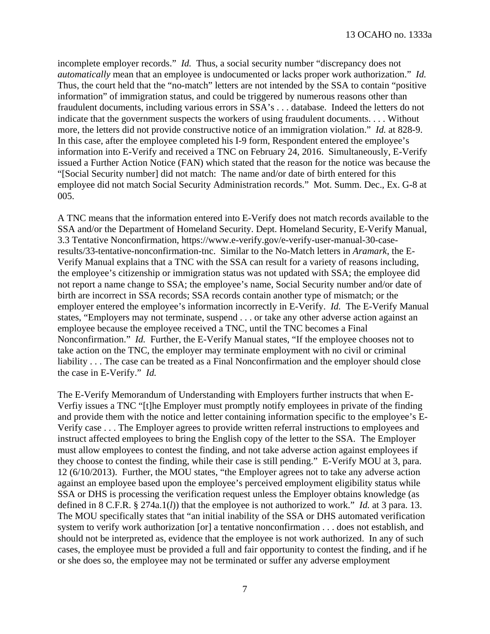incomplete employer records." *Id.* Thus, a social security number "discrepancy does not *automatically* mean that an employee is undocumented or lacks proper work authorization." *Id.* Thus, the court held that the "no-match" letters are not intended by the SSA to contain "positive information" of immigration status, and could be triggered by numerous reasons other than fraudulent documents, including various errors in SSA's . . . database. Indeed the letters do not indicate that the government suspects the workers of using fraudulent documents. . . . Without more, the letters did not provide constructive notice of an immigration violation." *Id.* at 828-9. In this case, after the employee completed his I-9 form, Respondent entered the employee's information into E-Verify and received a TNC on February 24, 2016. Simultaneously, E-Verify issued a Further Action Notice (FAN) which stated that the reason for the notice was because the "[Social Security number] did not match: The name and/or date of birth entered for this employee did not match Social Security Administration records." Mot. Summ. Dec., Ex. G-8 at 005.

A TNC means that the information entered into E-Verify does not match records available to the SSA and/or the Department of Homeland Security. Dept. Homeland Security, E-Verify Manual, 3.3 Tentative Nonconfirmation, https://www.e-verify.gov/e-verify-user-manual-30-caseresults/33-tentative-nonconfirmation-tnc. Similar to the No-Match letters in *Aramark*, the E-Verify Manual explains that a TNC with the SSA can result for a variety of reasons including, the employee's citizenship or immigration status was not updated with SSA; the employee did not report a name change to SSA; the employee's name, Social Security number and/or date of birth are incorrect in SSA records; SSA records contain another type of mismatch; or the employer entered the employee's information incorrectly in E-Verify. *Id.* The E-Verify Manual states, "Employers may not terminate, suspend . . . or take any other adverse action against an employee because the employee received a TNC, until the TNC becomes a Final Nonconfirmation." *Id.* Further, the E-Verify Manual states, "If the employee chooses not to take action on the TNC, the employer may terminate employment with no civil or criminal liability . . . The case can be treated as a Final Nonconfirmation and the employer should close the case in E-Verify." *Id.*

The E-Verify Memorandum of Understanding with Employers further instructs that when E-Verfiy issues a TNC "[t]he Employer must promptly notify employees in private of the finding and provide them with the notice and letter containing information specific to the employee's E-Verify case . . . The Employer agrees to provide written referral instructions to employees and instruct affected employees to bring the English copy of the letter to the SSA. The Employer must allow employees to contest the finding, and not take adverse action against employees if they choose to contest the finding, while their case is still pending." E-Verify MOU at 3, para. 12 (6/10/2013). Further, the MOU states, "the Employer agrees not to take any adverse action against an employee based upon the employee's perceived employment eligibility status while SSA or DHS is processing the verification request unless the Employer obtains knowledge (as defined in 8 C.F.R. § 274a.1(*l*)) that the employee is not authorized to work." *Id.* at 3 para. 13. The MOU specifically states that "an initial inability of the SSA or DHS automated verification system to verify work authorization [or] a tentative nonconfirmation . . . does not establish, and should not be interpreted as, evidence that the employee is not work authorized. In any of such cases, the employee must be provided a full and fair opportunity to contest the finding, and if he or she does so, the employee may not be terminated or suffer any adverse employment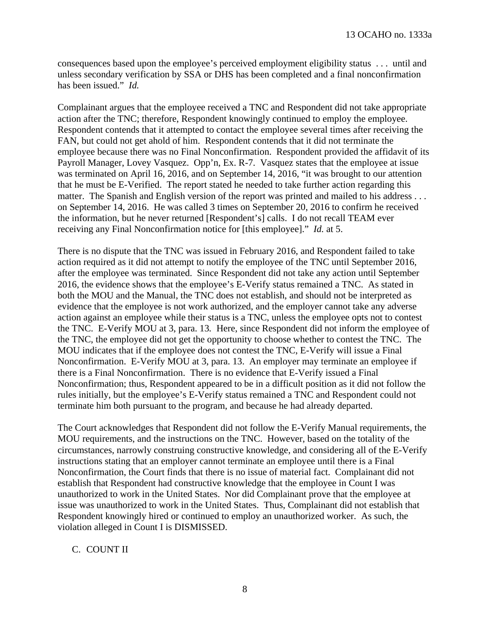consequences based upon the employee's perceived employment eligibility status . . . until and unless secondary verification by SSA or DHS has been completed and a final nonconfirmation has been issued." *Id.*

Complainant argues that the employee received a TNC and Respondent did not take appropriate action after the TNC; therefore, Respondent knowingly continued to employ the employee. Respondent contends that it attempted to contact the employee several times after receiving the FAN, but could not get ahold of him. Respondent contends that it did not terminate the employee because there was no Final Nonconfirmation. Respondent provided the affidavit of its Payroll Manager, Lovey Vasquez. Opp'n, Ex. R-7. Vasquez states that the employee at issue was terminated on April 16, 2016, and on September 14, 2016, "it was brought to our attention that he must be E-Verified. The report stated he needed to take further action regarding this matter. The Spanish and English version of the report was printed and mailed to his address ... on September 14, 2016. He was called 3 times on September 20, 2016 to confirm he received the information, but he never returned [Respondent's] calls. I do not recall TEAM ever receiving any Final Nonconfirmation notice for [this employee]." *Id.* at 5.

There is no dispute that the TNC was issued in February 2016, and Respondent failed to take action required as it did not attempt to notify the employee of the TNC until September 2016, after the employee was terminated. Since Respondent did not take any action until September 2016, the evidence shows that the employee's E-Verify status remained a TNC. As stated in both the MOU and the Manual, the TNC does not establish, and should not be interpreted as evidence that the employee is not work authorized, and the employer cannot take any adverse action against an employee while their status is a TNC, unless the employee opts not to contest the TNC. E-Verify MOU at 3, para. 13*.* Here, since Respondent did not inform the employee of the TNC, the employee did not get the opportunity to choose whether to contest the TNC. The MOU indicates that if the employee does not contest the TNC, E-Verify will issue a Final Nonconfirmation. E-Verify MOU at 3, para. 13. An employer may terminate an employee if there is a Final Nonconfirmation. There is no evidence that E-Verify issued a Final Nonconfirmation; thus, Respondent appeared to be in a difficult position as it did not follow the rules initially, but the employee's E-Verify status remained a TNC and Respondent could not terminate him both pursuant to the program, and because he had already departed.

The Court acknowledges that Respondent did not follow the E-Verify Manual requirements, the MOU requirements, and the instructions on the TNC. However, based on the totality of the circumstances, narrowly construing constructive knowledge, and considering all of the E-Verify instructions stating that an employer cannot terminate an employee until there is a Final Nonconfirmation, the Court finds that there is no issue of material fact. Complainant did not establish that Respondent had constructive knowledge that the employee in Count I was unauthorized to work in the United States. Nor did Complainant prove that the employee at issue was unauthorized to work in the United States. Thus, Complainant did not establish that Respondent knowingly hired or continued to employ an unauthorized worker. As such, the violation alleged in Count I is DISMISSED.

#### C. COUNT II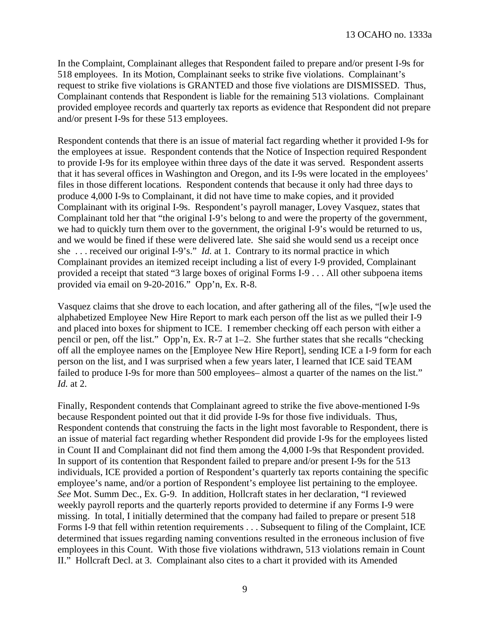In the Complaint, Complainant alleges that Respondent failed to prepare and/or present I-9s for 518 employees. In its Motion, Complainant seeks to strike five violations. Complainant's request to strike five violations is GRANTED and those five violations are DISMISSED. Thus, Complainant contends that Respondent is liable for the remaining 513 violations. Complainant provided employee records and quarterly tax reports as evidence that Respondent did not prepare and/or present I-9s for these 513 employees.

Respondent contends that there is an issue of material fact regarding whether it provided I-9s for the employees at issue. Respondent contends that the Notice of Inspection required Respondent to provide I-9s for its employee within three days of the date it was served. Respondent asserts that it has several offices in Washington and Oregon, and its I-9s were located in the employees' files in those different locations. Respondent contends that because it only had three days to produce 4,000 I-9s to Complainant, it did not have time to make copies, and it provided Complainant with its original I-9s. Respondent's payroll manager, Lovey Vasquez, states that Complainant told her that "the original I-9's belong to and were the property of the government, we had to quickly turn them over to the government, the original I-9's would be returned to us, and we would be fined if these were delivered late. She said she would send us a receipt once she . . . received our original I-9's." *Id.* at 1. Contrary to its normal practice in which Complainant provides an itemized receipt including a list of every I-9 provided, Complainant provided a receipt that stated "3 large boxes of original Forms I-9 . . . All other subpoena items provided via email on 9-20-2016." Opp'n, Ex. R-8.

Vasquez claims that she drove to each location, and after gathering all of the files, "[w]e used the alphabetized Employee New Hire Report to mark each person off the list as we pulled their I-9 and placed into boxes for shipment to ICE. I remember checking off each person with either a pencil or pen, off the list." Opp'n, Ex. R-7 at 1–2. She further states that she recalls "checking off all the employee names on the [Employee New Hire Report], sending ICE a I-9 form for each person on the list, and I was surprised when a few years later, I learned that ICE said TEAM failed to produce I-9s for more than 500 employees– almost a quarter of the names on the list." *Id.* at 2.

Finally, Respondent contends that Complainant agreed to strike the five above-mentioned I-9s because Respondent pointed out that it did provide I-9s for those five individuals. Thus, Respondent contends that construing the facts in the light most favorable to Respondent, there is an issue of material fact regarding whether Respondent did provide I-9s for the employees listed in Count II and Complainant did not find them among the 4,000 I-9s that Respondent provided. In support of its contention that Respondent failed to prepare and/or present I-9s for the 513 individuals, ICE provided a portion of Respondent's quarterly tax reports containing the specific employee's name, and/or a portion of Respondent's employee list pertaining to the employee. *See* Mot. Summ Dec., Ex. G-9. In addition, Hollcraft states in her declaration, "I reviewed weekly payroll reports and the quarterly reports provided to determine if any Forms I-9 were missing. In total, I initially determined that the company had failed to prepare or present 518 Forms I-9 that fell within retention requirements . . . Subsequent to filing of the Complaint, ICE determined that issues regarding naming conventions resulted in the erroneous inclusion of five employees in this Count. With those five violations withdrawn, 513 violations remain in Count II." Hollcraft Decl. at 3. Complainant also cites to a chart it provided with its Amended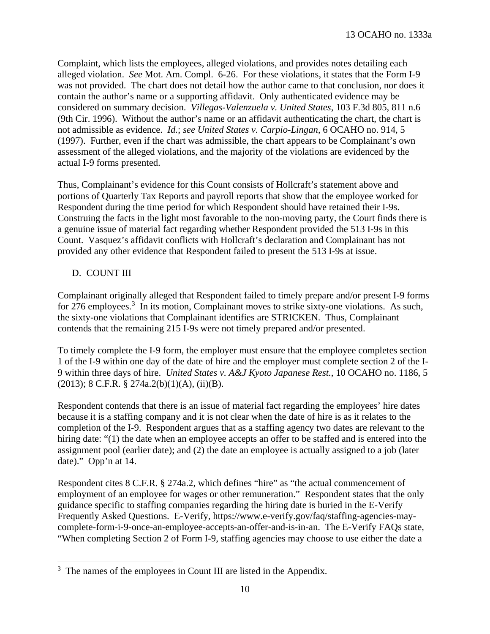Complaint, which lists the employees, alleged violations, and provides notes detailing each alleged violation. *See* Mot. Am. Compl. 6-26. For these violations, it states that the Form I-9 was not provided. The chart does not detail how the author came to that conclusion, nor does it contain the author's name or a supporting affidavit. Only authenticated evidence may be considered on summary decision. *Villegas-Valenzuela v. United States*, 103 F.3d 805, 811 n.6 (9th Cir. 1996). Without the author's name or an affidavit authenticating the chart, the chart is not admissible as evidence. *Id.*; *see United States v. Carpio-Lingan*, 6 OCAHO no. 914, 5 (1997). Further, even if the chart was admissible, the chart appears to be Complainant's own assessment of the alleged violations, and the majority of the violations are evidenced by the actual I-9 forms presented.

Thus, Complainant's evidence for this Count consists of Hollcraft's statement above and portions of Quarterly Tax Reports and payroll reports that show that the employee worked for Respondent during the time period for which Respondent should have retained their I-9s. Construing the facts in the light most favorable to the non-moving party, the Court finds there is a genuine issue of material fact regarding whether Respondent provided the 513 I-9s in this Count. Vasquez's affidavit conflicts with Hollcraft's declaration and Complainant has not provided any other evidence that Respondent failed to present the 513 I-9s at issue.

# D. COUNT III

Complainant originally alleged that Respondent failed to timely prepare and/or present I-9 forms for 276 employees.<sup>[3](#page-9-0)</sup> In its motion, Complainant moves to strike sixty-one violations. As such, the sixty-one violations that Complainant identifies are STRICKEN. Thus, Complainant contends that the remaining 215 I-9s were not timely prepared and/or presented.

To timely complete the I-9 form, the employer must ensure that the employee completes section 1 of the I-9 within one day of the date of hire and the employer must complete section 2 of the I-9 within three days of hire. *United States v. A&J Kyoto Japanese Rest.*, 10 OCAHO no. 1186, 5  $(2013); 8 \text{ C.F.R. } $274a.2(b)(1)(A), (ii)(B).$ 

Respondent contends that there is an issue of material fact regarding the employees' hire dates because it is a staffing company and it is not clear when the date of hire is as it relates to the completion of the I-9. Respondent argues that as a staffing agency two dates are relevant to the hiring date: "(1) the date when an employee accepts an offer to be staffed and is entered into the assignment pool (earlier date); and (2) the date an employee is actually assigned to a job (later date)." Opp'n at 14.

Respondent cites 8 C.F.R. § 274a.2, which defines "hire" as "the actual commencement of employment of an employee for wages or other remuneration." Respondent states that the only guidance specific to staffing companies regarding the hiring date is buried in the E-Verify Frequently Asked Questions. E-Verify, https://www.e-verify.gov/faq/staffing-agencies-maycomplete-form-i-9-once-an-employee-accepts-an-offer-and-is-in-an. The E-Verify FAQs state, "When completing Section 2 of Form I-9, staffing agencies may choose to use either the date a

<span id="page-9-0"></span>l <sup>3</sup> The names of the employees in Count III are listed in the Appendix.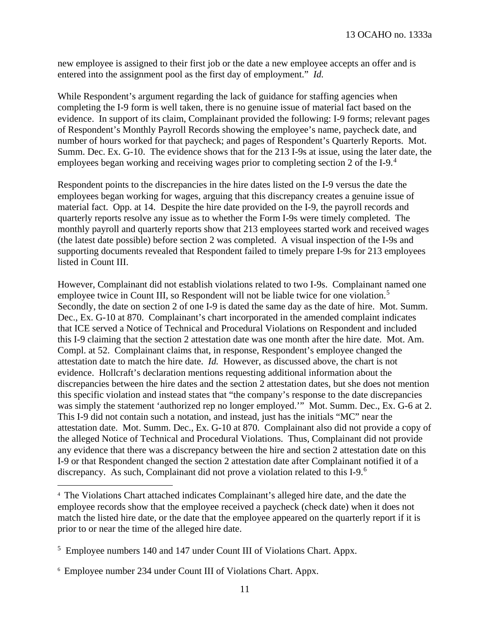new employee is assigned to their first job or the date a new employee accepts an offer and is entered into the assignment pool as the first day of employment." *Id.*

While Respondent's argument regarding the lack of guidance for staffing agencies when completing the I-9 form is well taken, there is no genuine issue of material fact based on the evidence. In support of its claim, Complainant provided the following: I-9 forms; relevant pages of Respondent's Monthly Payroll Records showing the employee's name, paycheck date, and number of hours worked for that paycheck; and pages of Respondent's Quarterly Reports. Mot. Summ. Dec. Ex. G-10. The evidence shows that for the 213 I-9s at issue, using the later date, the employees began working and receiving wages prior to completing section 2 of the I-9.<sup>[4](#page-10-0)</sup>

Respondent points to the discrepancies in the hire dates listed on the I-9 versus the date the employees began working for wages, arguing that this discrepancy creates a genuine issue of material fact. Opp. at 14. Despite the hire date provided on the I-9, the payroll records and quarterly reports resolve any issue as to whether the Form I-9s were timely completed. The monthly payroll and quarterly reports show that 213 employees started work and received wages (the latest date possible) before section 2 was completed. A visual inspection of the I-9s and supporting documents revealed that Respondent failed to timely prepare I-9s for 213 employees listed in Count III.

However, Complainant did not establish violations related to two I-9s. Complainant named one employee twice in Count III, so Respondent will not be liable twice for one violation.<sup>[5](#page-10-1)</sup> Secondly, the date on section 2 of one I-9 is dated the same day as the date of hire. Mot. Summ. Dec., Ex. G-10 at 870. Complainant's chart incorporated in the amended complaint indicates that ICE served a Notice of Technical and Procedural Violations on Respondent and included this I-9 claiming that the section 2 attestation date was one month after the hire date. Mot. Am. Compl. at 52. Complainant claims that, in response, Respondent's employee changed the attestation date to match the hire date. *Id.* However, as discussed above, the chart is not evidence. Hollcraft's declaration mentions requesting additional information about the discrepancies between the hire dates and the section 2 attestation dates, but she does not mention this specific violation and instead states that "the company's response to the date discrepancies was simply the statement 'authorized rep no longer employed.'" Mot. Summ. Dec., Ex. G-6 at 2. This I-9 did not contain such a notation, and instead, just has the initials "MC" near the attestation date. Mot. Summ. Dec., Ex. G-10 at 870. Complainant also did not provide a copy of the alleged Notice of Technical and Procedural Violations. Thus, Complainant did not provide any evidence that there was a discrepancy between the hire and section 2 attestation date on this I-9 or that Respondent changed the section 2 attestation date after Complainant notified it of a discrepancy. As such, Complainant did not prove a violation related to this I-9.[6](#page-10-2)

 $\overline{\phantom{a}}$ 

<span id="page-10-0"></span><sup>4</sup> The Violations Chart attached indicates Complainant's alleged hire date, and the date the employee records show that the employee received a paycheck (check date) when it does not match the listed hire date, or the date that the employee appeared on the quarterly report if it is prior to or near the time of the alleged hire date.

<span id="page-10-1"></span><sup>&</sup>lt;sup>5</sup> Employee numbers 140 and 147 under Count III of Violations Chart. Appx.

<span id="page-10-2"></span><sup>6</sup> Employee number 234 under Count III of Violations Chart. Appx.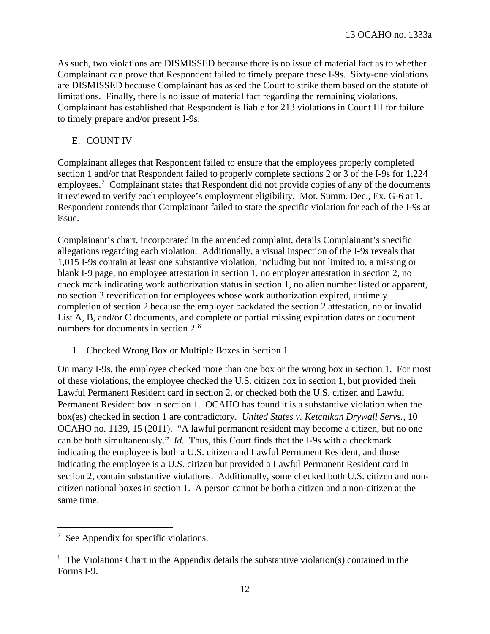As such, two violations are DISMISSED because there is no issue of material fact as to whether Complainant can prove that Respondent failed to timely prepare these I-9s. Sixty-one violations are DISMISSED because Complainant has asked the Court to strike them based on the statute of limitations. Finally, there is no issue of material fact regarding the remaining violations. Complainant has established that Respondent is liable for 213 violations in Count III for failure to timely prepare and/or present I-9s.

# E. COUNT IV

Complainant alleges that Respondent failed to ensure that the employees properly completed section 1 and/or that Respondent failed to properly complete sections 2 or 3 of the I-9s for 1,224 employees.<sup>[7](#page-11-0)</sup> Complainant states that Respondent did not provide copies of any of the documents it reviewed to verify each employee's employment eligibility. Mot. Summ. Dec., Ex. G-6 at 1. Respondent contends that Complainant failed to state the specific violation for each of the I-9s at issue.

Complainant's chart, incorporated in the amended complaint, details Complainant's specific allegations regarding each violation. Additionally, a visual inspection of the I-9s reveals that 1,015 I-9s contain at least one substantive violation, including but not limited to, a missing or blank I-9 page, no employee attestation in section 1, no employer attestation in section 2, no check mark indicating work authorization status in section 1, no alien number listed or apparent, no section 3 reverification for employees whose work authorization expired, untimely completion of section 2 because the employer backdated the section 2 attestation, no or invalid List A, B, and/or C documents, and complete or partial missing expiration dates or document numbers for documents in section 2.<sup>[8](#page-11-1)</sup>

1. Checked Wrong Box or Multiple Boxes in Section 1

On many I-9s, the employee checked more than one box or the wrong box in section 1. For most of these violations, the employee checked the U.S. citizen box in section 1, but provided their Lawful Permanent Resident card in section 2, or checked both the U.S. citizen and Lawful Permanent Resident box in section 1. OCAHO has found it is a substantive violation when the box(es) checked in section 1 are contradictory. *United States v. Ketchikan Drywall Servs.*, 10 OCAHO no. 1139, 15 (2011). "A lawful permanent resident may become a citizen, but no one can be both simultaneously." *Id.* Thus, this Court finds that the I-9s with a checkmark indicating the employee is both a U.S. citizen and Lawful Permanent Resident, and those indicating the employee is a U.S. citizen but provided a Lawful Permanent Resident card in section 2, contain substantive violations. Additionally, some checked both U.S. citizen and noncitizen national boxes in section 1. A person cannot be both a citizen and a non-citizen at the same time.

 $\overline{a}$ 

<span id="page-11-0"></span><sup>7</sup> See Appendix for specific violations.

<span id="page-11-1"></span> $8 \text{ The Violations Chart in the Appendix details the substantive violation(s) contained in the$ Forms I-9.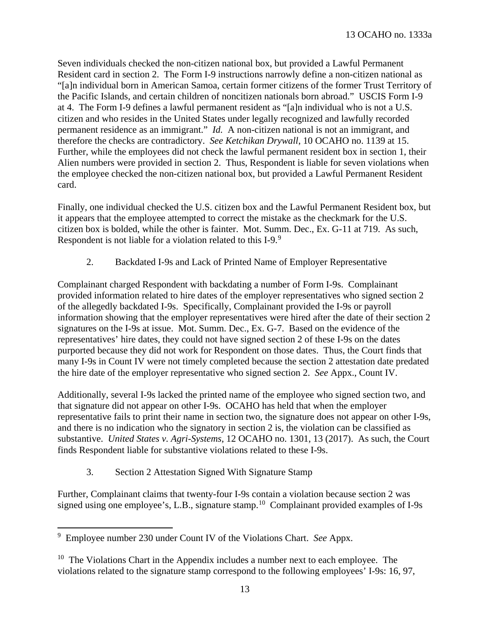Seven individuals checked the non-citizen national box, but provided a Lawful Permanent Resident card in section 2. The Form I-9 instructions narrowly define a non-citizen national as "[a]n individual born in American Samoa, certain former citizens of the former Trust Territory of the Pacific Islands, and certain children of noncitizen nationals born abroad." USCIS Form I-9 at 4. The Form I-9 defines a lawful permanent resident as "[a]n individual who is not a U.S. citizen and who resides in the United States under legally recognized and lawfully recorded permanent residence as an immigrant." *Id.* A non-citizen national is not an immigrant, and therefore the checks are contradictory. *See Ketchikan Drywall*, 10 OCAHO no. 1139 at 15. Further, while the employees did not check the lawful permanent resident box in section 1, their Alien numbers were provided in section 2. Thus, Respondent is liable for seven violations when the employee checked the non-citizen national box, but provided a Lawful Permanent Resident card.

Finally, one individual checked the U.S. citizen box and the Lawful Permanent Resident box, but it appears that the employee attempted to correct the mistake as the checkmark for the U.S. citizen box is bolded, while the other is fainter. Mot. Summ. Dec., Ex. G-11 at 719. As such, Respondent is not liable for a violation related to this I-[9](#page-12-0).<sup>9</sup>

2. Backdated I-9s and Lack of Printed Name of Employer Representative

Complainant charged Respondent with backdating a number of Form I-9s. Complainant provided information related to hire dates of the employer representatives who signed section 2 of the allegedly backdated I-9s. Specifically, Complainant provided the I-9s or payroll information showing that the employer representatives were hired after the date of their section 2 signatures on the I-9s at issue. Mot. Summ. Dec., Ex. G-7. Based on the evidence of the representatives' hire dates, they could not have signed section 2 of these I-9s on the dates purported because they did not work for Respondent on those dates. Thus, the Court finds that many I-9s in Count IV were not timely completed because the section 2 attestation date predated the hire date of the employer representative who signed section 2. *See* Appx., Count IV.

Additionally, several I-9s lacked the printed name of the employee who signed section two, and that signature did not appear on other I-9s. OCAHO has held that when the employer representative fails to print their name in section two, the signature does not appear on other I-9s, and there is no indication who the signatory in section 2 is, the violation can be classified as substantive. *United States v. Agri-Systems*, 12 OCAHO no. 1301, 13 (2017). As such, the Court finds Respondent liable for substantive violations related to these I-9s.

3. Section 2 Attestation Signed With Signature Stamp

Further, Complainant claims that twenty-four I-9s contain a violation because section 2 was signed using one employee's, L.B., signature stamp.[10](#page-12-1) Complainant provided examples of I-9s

 $\overline{a}$ 

<span id="page-12-0"></span><sup>9</sup> Employee number 230 under Count IV of the Violations Chart. *See* Appx.

<span id="page-12-1"></span> $10$  The Violations Chart in the Appendix includes a number next to each employee. The violations related to the signature stamp correspond to the following employees' I-9s: 16, 97,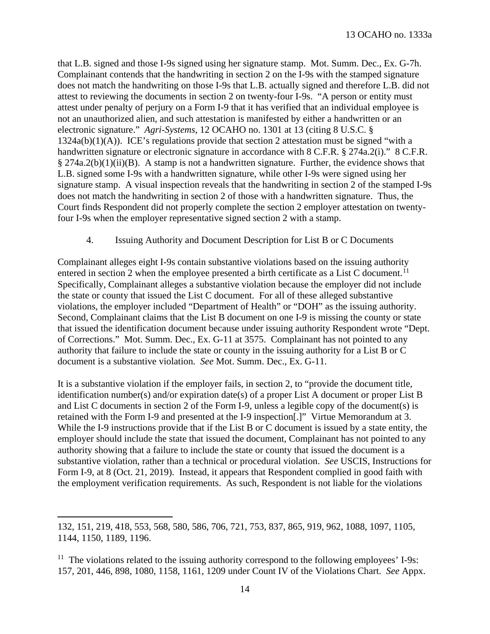that L.B. signed and those I-9s signed using her signature stamp. Mot. Summ. Dec., Ex. G-7h. Complainant contends that the handwriting in section 2 on the I-9s with the stamped signature does not match the handwriting on those I-9s that L.B. actually signed and therefore L.B. did not attest to reviewing the documents in section 2 on twenty-four I-9s. "A person or entity must attest under penalty of perjury on a Form I-9 that it has verified that an individual employee is not an unauthorized alien, and such attestation is manifested by either a handwritten or an electronic signature." *Agri-Systems*, 12 OCAHO no. 1301 at 13 (citing 8 U.S.C. §  $1324a(b)(1)(A)$ ). ICE's regulations provide that section 2 attestation must be signed "with a handwritten signature or electronic signature in accordance with 8 C.F.R. § 274a.2(i)." 8 C.F.R.  $\S 274a.2(b)(1)(ii)(B)$ . A stamp is not a handwritten signature. Further, the evidence shows that L.B. signed some I-9s with a handwritten signature, while other I-9s were signed using her signature stamp. A visual inspection reveals that the handwriting in section 2 of the stamped I-9s does not match the handwriting in section 2 of those with a handwritten signature. Thus, the Court finds Respondent did not properly complete the section 2 employer attestation on twentyfour I-9s when the employer representative signed section 2 with a stamp.

4. Issuing Authority and Document Description for List B or C Documents

Complainant alleges eight I-9s contain substantive violations based on the issuing authority entered in section 2 when the employee presented a birth certificate as a List C document.<sup>11</sup> Specifically, Complainant alleges a substantive violation because the employer did not include the state or county that issued the List C document. For all of these alleged substantive violations, the employer included "Department of Health" or "DOH" as the issuing authority. Second, Complainant claims that the List B document on one I-9 is missing the county or state that issued the identification document because under issuing authority Respondent wrote "Dept. of Corrections." Mot. Summ. Dec., Ex. G-11 at 3575. Complainant has not pointed to any authority that failure to include the state or county in the issuing authority for a List B or C document is a substantive violation. *See* Mot. Summ. Dec., Ex. G-11.

It is a substantive violation if the employer fails, in section 2, to "provide the document title, identification number(s) and/or expiration date(s) of a proper List A document or proper List B and List C documents in section 2 of the Form I-9, unless a legible copy of the document(s) is retained with the Form I-9 and presented at the I-9 inspection[.]" Virtue Memorandum at 3. While the I-9 instructions provide that if the List B or C document is issued by a state entity, the employer should include the state that issued the document, Complainant has not pointed to any authority showing that a failure to include the state or county that issued the document is a substantive violation, rather than a technical or procedural violation. *See* USCIS, Instructions for Form I-9, at 8 (Oct. 21, 2019). Instead, it appears that Respondent complied in good faith with the employment verification requirements. As such, Respondent is not liable for the violations

 $\overline{a}$ 

<sup>132, 151, 219, 418, 553, 568, 580, 586, 706, 721, 753, 837, 865, 919, 962, 1088, 1097, 1105,</sup>  1144, 1150, 1189, 1196.

<span id="page-13-0"></span> $11$  The violations related to the issuing authority correspond to the following employees' I-9s: 157, 201, 446, 898, 1080, 1158, 1161, 1209 under Count IV of the Violations Chart. *See* Appx.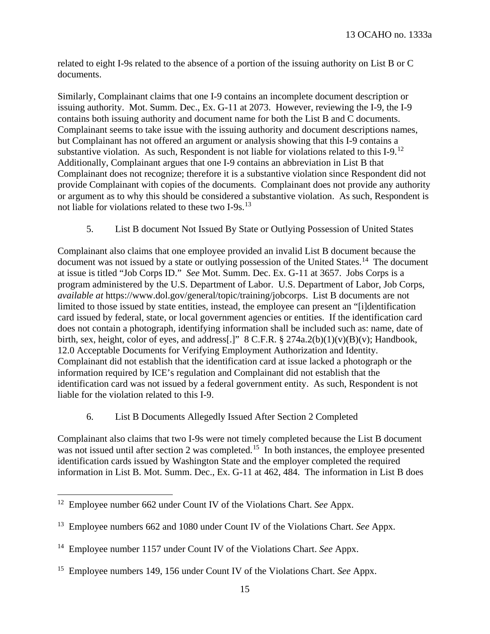related to eight I-9s related to the absence of a portion of the issuing authority on List B or C documents.

Similarly, Complainant claims that one I-9 contains an incomplete document description or issuing authority. Mot. Summ. Dec., Ex. G-11 at 2073. However, reviewing the I-9, the I-9 contains both issuing authority and document name for both the List B and C documents. Complainant seems to take issue with the issuing authority and document descriptions names, but Complainant has not offered an argument or analysis showing that this I-9 contains a substantive violation. As such, Respondent is not liable for violations related to this  $I-9$ .<sup>[12](#page-14-0)</sup> Additionally, Complainant argues that one I-9 contains an abbreviation in List B that Complainant does not recognize; therefore it is a substantive violation since Respondent did not provide Complainant with copies of the documents. Complainant does not provide any authority or argument as to why this should be considered a substantive violation. As such, Respondent is not liable for violations related to these two I-9s.<sup>[13](#page-14-1)</sup>

5. List B document Not Issued By State or Outlying Possession of United States

Complainant also claims that one employee provided an invalid List B document because the document was not issued by a state or outlying possession of the United States.<sup>14</sup> The document at issue is titled "Job Corps ID." *See* Mot. Summ. Dec. Ex. G-11 at 3657. Jobs Corps is a program administered by the U.S. Department of Labor. U.S. Department of Labor, Job Corps, *available at* https://www.dol.gov/general/topic/training/jobcorps. List B documents are not limited to those issued by state entities, instead, the employee can present an "[i]dentification card issued by federal, state, or local government agencies or entities. If the identification card does not contain a photograph, identifying information shall be included such as: name, date of birth, sex, height, color of eyes, and address[.]" 8 C.F.R.  $\S 274a.2(b)(1)(v)(B)(v)$ ; Handbook, 12.0 Acceptable Documents for Verifying Employment Authorization and Identity. Complainant did not establish that the identification card at issue lacked a photograph or the information required by ICE's regulation and Complainant did not establish that the identification card was not issued by a federal government entity. As such, Respondent is not liable for the violation related to this I-9.

# 6. List B Documents Allegedly Issued After Section 2 Completed

Complainant also claims that two I-9s were not timely completed because the List B document was not issued until after section 2 was completed.<sup>[15](#page-14-3)</sup> In both instances, the employee presented identification cards issued by Washington State and the employer completed the required information in List B. Mot. Summ. Dec., Ex. G-11 at 462, 484. The information in List B does

 $\overline{\phantom{a}}$ 

<span id="page-14-0"></span><sup>12</sup> Employee number 662 under Count IV of the Violations Chart. *See* Appx.

<span id="page-14-1"></span><sup>13</sup> Employee numbers 662 and 1080 under Count IV of the Violations Chart. *See* Appx.

<span id="page-14-2"></span><sup>14</sup> Employee number 1157 under Count IV of the Violations Chart. *See* Appx.

<span id="page-14-3"></span><sup>15</sup> Employee numbers 149, 156 under Count IV of the Violations Chart. *See* Appx.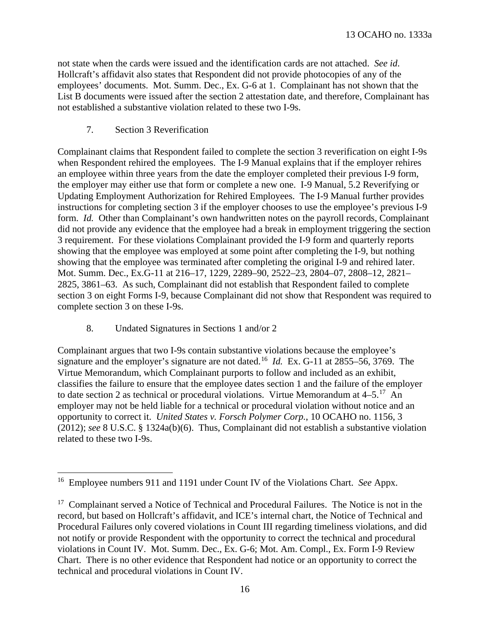not state when the cards were issued and the identification cards are not attached. *See id*. Hollcraft's affidavit also states that Respondent did not provide photocopies of any of the employees' documents. Mot. Summ. Dec., Ex. G-6 at 1. Complainant has not shown that the List B documents were issued after the section 2 attestation date, and therefore, Complainant has not established a substantive violation related to these two I-9s.

### 7. Section 3 Reverification

Complainant claims that Respondent failed to complete the section 3 reverification on eight I-9s when Respondent rehired the employees. The I-9 Manual explains that if the employer rehires an employee within three years from the date the employer completed their previous I-9 form, the employer may either use that form or complete a new one. I-9 Manual, 5.2 Reverifying or Updating Employment Authorization for Rehired Employees. The I-9 Manual further provides instructions for completing section 3 if the employer chooses to use the employee's previous I-9 form. *Id.* Other than Complainant's own handwritten notes on the payroll records, Complainant did not provide any evidence that the employee had a break in employment triggering the section 3 requirement. For these violations Complainant provided the I-9 form and quarterly reports showing that the employee was employed at some point after completing the I-9, but nothing showing that the employee was terminated after completing the original I-9 and rehired later. Mot. Summ. Dec., Ex.G-11 at 216–17, 1229, 2289–90, 2522–23, 2804–07, 2808–12, 2821– 2825, 3861–63. As such, Complainant did not establish that Respondent failed to complete section 3 on eight Forms I-9, because Complainant did not show that Respondent was required to complete section 3 on these I-9s.

#### 8. Undated Signatures in Sections 1 and/or 2

 $\overline{a}$ 

Complainant argues that two I-9s contain substantive violations because the employee's signature and the employer's signature are not dated.[16](#page-15-0) *Id.* Ex. G-11 at 2855–56, 3769. The Virtue Memorandum, which Complainant purports to follow and included as an exhibit, classifies the failure to ensure that the employee dates section 1 and the failure of the employer to date section 2 as technical or procedural violations. Virtue Memorandum at  $4-5.^{17}$  $4-5.^{17}$  $4-5.^{17}$  An employer may not be held liable for a technical or procedural violation without notice and an opportunity to correct it. *United States v. Forsch Polymer Corp.*, 10 OCAHO no. 1156, 3 (2012); *see* 8 U.S.C. § 1324a(b)(6). Thus, Complainant did not establish a substantive violation related to these two I-9s.

<span id="page-15-0"></span><sup>16</sup> Employee numbers 911 and 1191 under Count IV of the Violations Chart. *See* Appx.

<span id="page-15-1"></span><sup>&</sup>lt;sup>17</sup> Complainant served a Notice of Technical and Procedural Failures. The Notice is not in the record, but based on Hollcraft's affidavit, and ICE's internal chart, the Notice of Technical and Procedural Failures only covered violations in Count III regarding timeliness violations, and did not notify or provide Respondent with the opportunity to correct the technical and procedural violations in Count IV. Mot. Summ. Dec., Ex. G-6; Mot. Am. Compl., Ex. Form I-9 Review Chart. There is no other evidence that Respondent had notice or an opportunity to correct the technical and procedural violations in Count IV.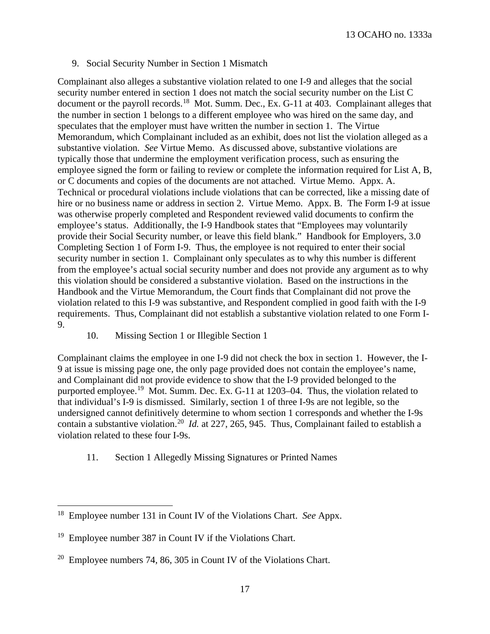#### 9. Social Security Number in Section 1 Mismatch

Complainant also alleges a substantive violation related to one I-9 and alleges that the social security number entered in section 1 does not match the social security number on the List C document or the payroll records.<sup>18</sup> Mot. Summ. Dec., Ex. G-11 at 403. Complainant alleges that the number in section 1 belongs to a different employee who was hired on the same day, and speculates that the employer must have written the number in section 1. The Virtue Memorandum, which Complainant included as an exhibit, does not list the violation alleged as a substantive violation. *See* Virtue Memo. As discussed above, substantive violations are typically those that undermine the employment verification process, such as ensuring the employee signed the form or failing to review or complete the information required for List A, B, or C documents and copies of the documents are not attached. Virtue Memo. Appx. A. Technical or procedural violations include violations that can be corrected, like a missing date of hire or no business name or address in section 2. Virtue Memo. Appx. B. The Form I-9 at issue was otherwise properly completed and Respondent reviewed valid documents to confirm the employee's status. Additionally, the I-9 Handbook states that "Employees may voluntarily provide their Social Security number, or leave this field blank." Handbook for Employers, 3.0 Completing Section 1 of Form I-9. Thus, the employee is not required to enter their social security number in section 1. Complainant only speculates as to why this number is different from the employee's actual social security number and does not provide any argument as to why this violation should be considered a substantive violation. Based on the instructions in the Handbook and the Virtue Memorandum, the Court finds that Complainant did not prove the violation related to this I-9 was substantive, and Respondent complied in good faith with the I-9 requirements. Thus, Complainant did not establish a substantive violation related to one Form I-9.

10. Missing Section 1 or Illegible Section 1

Complainant claims the employee in one I-9 did not check the box in section 1. However, the I-9 at issue is missing page one, the only page provided does not contain the employee's name, and Complainant did not provide evidence to show that the I-9 provided belonged to the purported employee.<sup>19</sup> Mot. Summ. Dec. Ex. G-11 at 1203–04. Thus, the violation related to that individual's I-9 is dismissed. Similarly, section 1 of three I-9s are not legible, so the undersigned cannot definitively determine to whom section 1 corresponds and whether the I-9s contain a substantive violation.[20](#page-16-2) *Id.* at 227, 265, 945. Thus, Complainant failed to establish a violation related to these four I-9s.

11. Section 1 Allegedly Missing Signatures or Printed Names

l

<span id="page-16-0"></span><sup>18</sup> Employee number 131 in Count IV of the Violations Chart. *See* Appx.

<span id="page-16-1"></span><sup>&</sup>lt;sup>19</sup> Employee number 387 in Count IV if the Violations Chart.

<span id="page-16-2"></span> $20$  Employee numbers 74, 86, 305 in Count IV of the Violations Chart.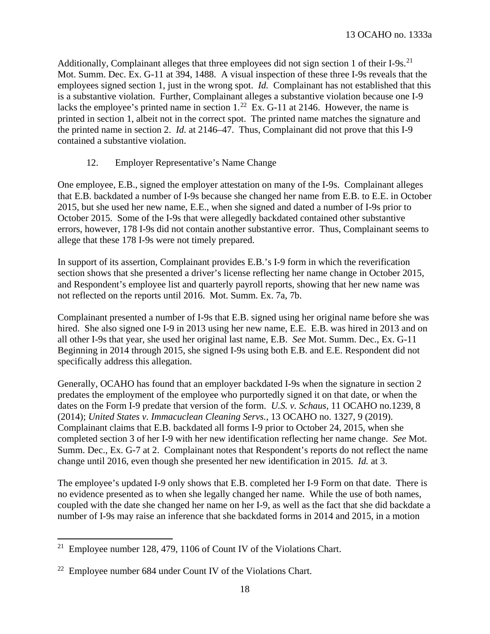Additionally, Complainant alleges that three employees did not sign section 1 of their I-9s.<sup>[21](#page-17-0)</sup> Mot. Summ. Dec. Ex. G-11 at 394, 1488. A visual inspection of these three I-9s reveals that the employees signed section 1, just in the wrong spot. *Id.* Complainant has not established that this is a substantive violation. Further, Complainant alleges a substantive violation because one I-9 lacks the employee's printed name in section  $1.^{22}$  Ex. G-11 at 2146. However, the name is printed in section 1, albeit not in the correct spot. The printed name matches the signature and the printed name in section 2. *Id.* at 2146–47. Thus, Complainant did not prove that this I-9 contained a substantive violation.

# 12. Employer Representative's Name Change

One employee, E.B., signed the employer attestation on many of the I-9s. Complainant alleges that E.B. backdated a number of I-9s because she changed her name from E.B. to E.E. in October 2015, but she used her new name, E.E., when she signed and dated a number of I-9s prior to October 2015. Some of the I-9s that were allegedly backdated contained other substantive errors, however, 178 I-9s did not contain another substantive error. Thus, Complainant seems to allege that these 178 I-9s were not timely prepared.

In support of its assertion, Complainant provides E.B.'s I-9 form in which the reverification section shows that she presented a driver's license reflecting her name change in October 2015, and Respondent's employee list and quarterly payroll reports, showing that her new name was not reflected on the reports until 2016. Mot. Summ. Ex. 7a, 7b.

Complainant presented a number of I-9s that E.B. signed using her original name before she was hired. She also signed one I-9 in 2013 using her new name, E.E. E.B. was hired in 2013 and on all other I-9s that year, she used her original last name, E.B. *See* Mot. Summ. Dec., Ex. G-11 Beginning in 2014 through 2015, she signed I-9s using both E.B. and E.E. Respondent did not specifically address this allegation.

Generally, OCAHO has found that an employer backdated I-9s when the signature in section 2 predates the employment of the employee who purportedly signed it on that date, or when the dates on the Form I-9 predate that version of the form. *U.S. v. Schaus,* 11 OCAHO no.1239, 8 (2014); *United States v. Immacuclean Cleaning Servs.*, 13 OCAHO no. 1327, 9 (2019). Complainant claims that E.B. backdated all forms I-9 prior to October 24, 2015, when she completed section 3 of her I-9 with her new identification reflecting her name change. *See* Mot. Summ. Dec., Ex. G-7 at 2. Complainant notes that Respondent's reports do not reflect the name change until 2016, even though she presented her new identification in 2015. *Id.* at 3.

The employee's updated I-9 only shows that E.B. completed her I-9 Form on that date. There is no evidence presented as to when she legally changed her name. While the use of both names, coupled with the date she changed her name on her I-9, as well as the fact that she did backdate a number of I-9s may raise an inference that she backdated forms in 2014 and 2015, in a motion

 $\overline{\phantom{a}}$ 

<span id="page-17-0"></span><sup>&</sup>lt;sup>21</sup> Employee number 128, 479, 1106 of Count IV of the Violations Chart.

<span id="page-17-1"></span> $22$  Employee number 684 under Count IV of the Violations Chart.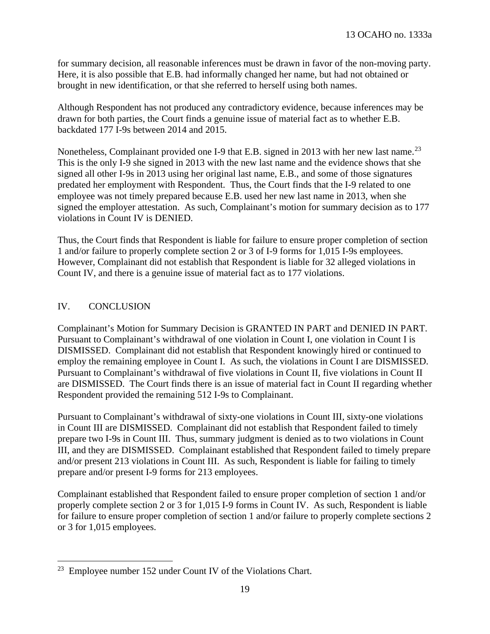for summary decision, all reasonable inferences must be drawn in favor of the non-moving party. Here, it is also possible that E.B. had informally changed her name, but had not obtained or brought in new identification, or that she referred to herself using both names.

Although Respondent has not produced any contradictory evidence, because inferences may be drawn for both parties, the Court finds a genuine issue of material fact as to whether E.B. backdated 177 I-9s between 2014 and 2015.

Nonetheless, Complainant provided one I-9 that E.B. signed in 2013 with her new last name.<sup>23</sup> This is the only I-9 she signed in 2013 with the new last name and the evidence shows that she signed all other I-9s in 2013 using her original last name, E.B., and some of those signatures predated her employment with Respondent. Thus, the Court finds that the I-9 related to one employee was not timely prepared because E.B. used her new last name in 2013, when she signed the employer attestation. As such, Complainant's motion for summary decision as to 177 violations in Count IV is DENIED.

Thus, the Court finds that Respondent is liable for failure to ensure proper completion of section 1 and/or failure to properly complete section 2 or 3 of I-9 forms for 1,015 I-9s employees. However, Complainant did not establish that Respondent is liable for 32 alleged violations in Count IV, and there is a genuine issue of material fact as to 177 violations.

# IV. CONCLUSION

Complainant's Motion for Summary Decision is GRANTED IN PART and DENIED IN PART. Pursuant to Complainant's withdrawal of one violation in Count I, one violation in Count I is DISMISSED. Complainant did not establish that Respondent knowingly hired or continued to employ the remaining employee in Count I. As such, the violations in Count I are DISMISSED. Pursuant to Complainant's withdrawal of five violations in Count II, five violations in Count II are DISMISSED. The Court finds there is an issue of material fact in Count II regarding whether Respondent provided the remaining 512 I-9s to Complainant.

Pursuant to Complainant's withdrawal of sixty-one violations in Count III, sixty-one violations in Count III are DISMISSED. Complainant did not establish that Respondent failed to timely prepare two I-9s in Count III. Thus, summary judgment is denied as to two violations in Count III, and they are DISMISSED. Complainant established that Respondent failed to timely prepare and/or present 213 violations in Count III. As such, Respondent is liable for failing to timely prepare and/or present I-9 forms for 213 employees.

Complainant established that Respondent failed to ensure proper completion of section 1 and/or properly complete section 2 or 3 for 1,015 I-9 forms in Count IV. As such, Respondent is liable for failure to ensure proper completion of section 1 and/or failure to properly complete sections 2 or 3 for 1,015 employees.

<span id="page-18-0"></span>l <sup>23</sup> Employee number 152 under Count IV of the Violations Chart.